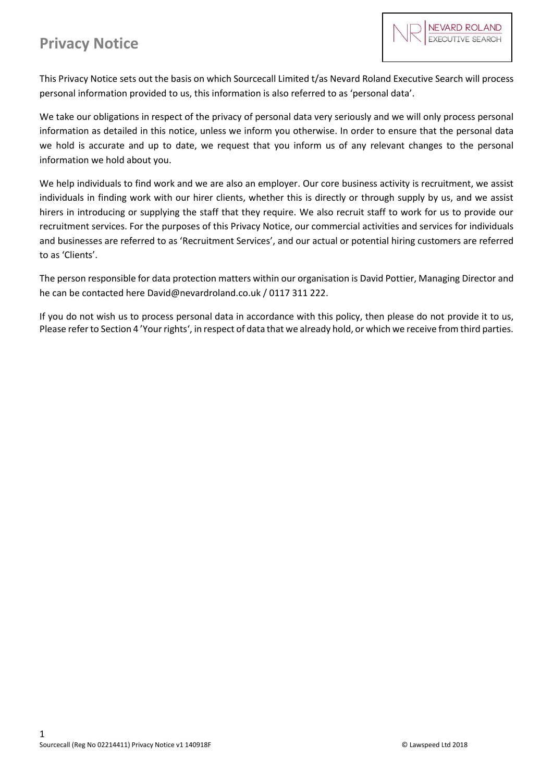This Privacy Notice sets out the basis on which Sourcecall Limited t/as Nevard Roland Executive Search will process personal information provided to us, this information is also referred to as 'personal data'.

We take our obligations in respect of the privacy of personal data very seriously and we will only process personal information as detailed in this notice, unless we inform you otherwise. In order to ensure that the personal data we hold is accurate and up to date, we request that you inform us of any relevant changes to the personal information we hold about you.

We help individuals to find work and we are also an employer. Our core business activity is recruitment, we assist individuals in finding work with our hirer clients, whether this is directly or through supply by us, and we assist hirers in introducing or supplying the staff that they require. We also recruit staff to work for us to provide our recruitment services. For the purposes of this Privacy Notice, our commercial activities and services for individuals and businesses are referred to as 'Recruitment Services', and our actual or potential hiring customers are referred to as 'Clients'.

The person responsible for data protection matters within our organisation is David Pottier, Managing Director and he can be contacted here David@nevardroland.co.uk / 0117 311 222.

If you do not wish us to process personal data in accordance with this policy, then please do not provide it to us, Please refer to Section 4 'Your rights', in respect of data that we already hold, or which we receive from third parties.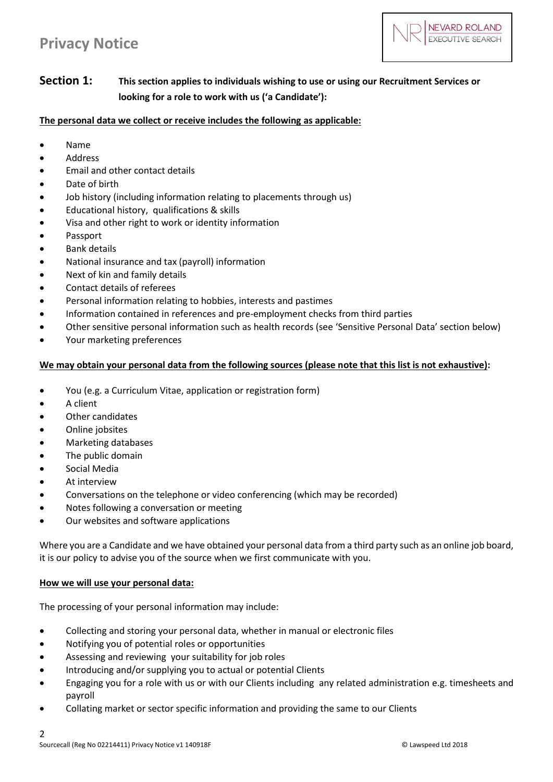

# **Section 1: This section applies to individuals wishing to use or using our Recruitment Services or looking for a role to work with us ('a Candidate'):**

**The personal data we collect or receive includes the following as applicable:**

- Name
- Address
- Email and other contact details
- Date of birth
- Job history (including information relating to placements through us)
- Educational history, qualifications & skills
- Visa and other right to work or identity information
- Passport
- Bank details
- National insurance and tax (payroll) information
- Next of kin and family details
- Contact details of referees
- Personal information relating to hobbies, interests and pastimes
- Information contained in references and pre-employment checks from third parties
- Other sensitive personal information such as health records (see 'Sensitive Personal Data' section below)
- Your marketing preferences

### **We may obtain your personal data from the following sources (please note that this list is not exhaustive):**

- You (e.g. a Curriculum Vitae, application or registration form)
- A client
- Other candidates
- Online jobsites
- Marketing databases
- The public domain
- Social Media
- At interview
- Conversations on the telephone or video conferencing (which may be recorded)
- Notes following a conversation or meeting
- Our websites and software applications

Where you are a Candidate and we have obtained your personal data from a third party such as an online job board, it is our policy to advise you of the source when we first communicate with you.

#### **How we will use your personal data:**

The processing of your personal information may include:

- Collecting and storing your personal data, whether in manual or electronic files
- Notifying you of potential roles or opportunities
- Assessing and reviewing your suitability for job roles
- Introducing and/or supplying you to actual or potential Clients
- Engaging you for a role with us or with our Clients including any related administration e.g. timesheets and payroll
- Collating market or sector specific information and providing the same to our Clients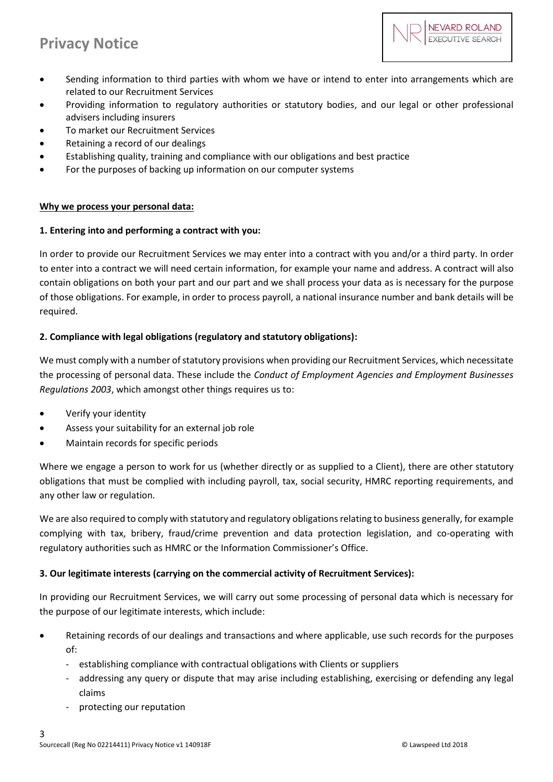

- Sending information to third parties with whom we have or intend to enter into arrangements which are related to our Recruitment Services
- Providing information to regulatory authorities or statutory bodies, and our legal or other professional advisers including insurers
- To market our Recruitment Services
- Retaining a record of our dealings
- Establishing quality, training and compliance with our obligations and best practice
- For the purposes of backing up information on our computer systems

### **Why we process your personal data:**

### **1. Entering into and performing a contract with you:**

In order to provide our Recruitment Services we may enter into a contract with you and/or a third party. In order to enter into a contract we will need certain information, for example your name and address. A contract will also contain obligations on both your part and our part and we shall process your data as is necessary for the purpose of those obligations. For example, in order to process payroll, a national insurance number and bank details will be required.

## **2. Compliance with legal obligations (regulatory and statutory obligations):**

We must comply with a number of statutory provisions when providing our Recruitment Services, which necessitate the processing of personal data. These include the *Conduct of Employment Agencies and Employment Businesses Regulations 2003*, which amongst other things requires us to:

- Verify your identity
- Assess your suitability for an external job role
- Maintain records for specific periods

Where we engage a person to work for us (whether directly or as supplied to a Client), there are other statutory obligations that must be complied with including payroll, tax, social security, HMRC reporting requirements, and any other law or regulation.

We are also required to comply with statutory and regulatory obligations relating to business generally, for example complying with tax, bribery, fraud/crime prevention and data protection legislation, and co-operating with regulatory authorities such as HMRC or the Information Commissioner's Office.

## **3. Our legitimate interests (carrying on the commercial activity of Recruitment Services):**

In providing our Recruitment Services, we will carry out some processing of personal data which is necessary for the purpose of our legitimate interests, which include:

- Retaining records of our dealings and transactions and where applicable, use such records for the purposes of:
	- establishing compliance with contractual obligations with Clients or suppliers
	- addressing any query or dispute that may arise including establishing, exercising or defending any legal claims
	- protecting our reputation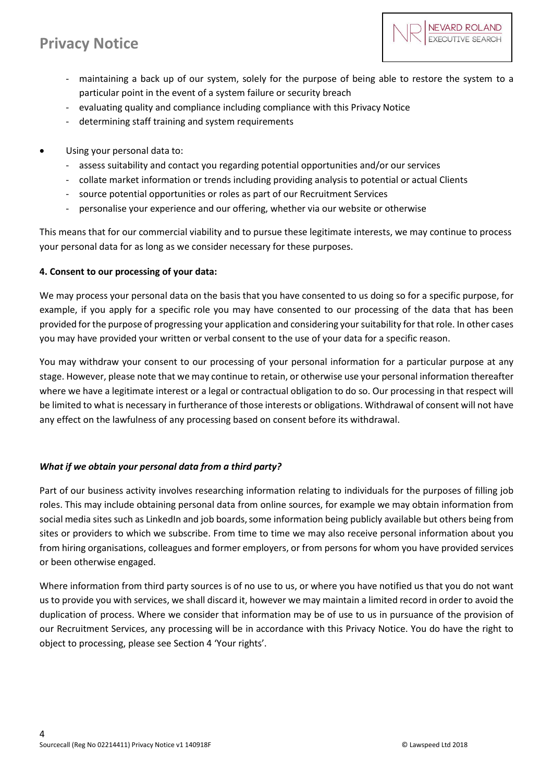

- maintaining a back up of our system, solely for the purpose of being able to restore the system to a particular point in the event of a system failure or security breach
- evaluating quality and compliance including compliance with this Privacy Notice
- determining staff training and system requirements
- Using your personal data to:
	- assess suitability and contact you regarding potential opportunities and/or our services
	- collate market information or trends including providing analysis to potential or actual Clients
	- source potential opportunities or roles as part of our Recruitment Services
	- personalise your experience and our offering, whether via our website or otherwise

This means that for our commercial viability and to pursue these legitimate interests, we may continue to process your personal data for as long as we consider necessary for these purposes.

## **4. Consent to our processing of your data:**

We may process your personal data on the basis that you have consented to us doing so for a specific purpose, for example, if you apply for a specific role you may have consented to our processing of the data that has been provided for the purpose of progressing your application and considering your suitability for that role. In other cases you may have provided your written or verbal consent to the use of your data for a specific reason.

You may withdraw your consent to our processing of your personal information for a particular purpose at any stage. However, please note that we may continue to retain, or otherwise use your personal information thereafter where we have a legitimate interest or a legal or contractual obligation to do so. Our processing in that respect will be limited to what is necessary in furtherance of those interests or obligations. Withdrawal of consent will not have any effect on the lawfulness of any processing based on consent before its withdrawal.

## *What if we obtain your personal data from a third party?*

Part of our business activity involves researching information relating to individuals for the purposes of filling job roles. This may include obtaining personal data from online sources, for example we may obtain information from social media sites such as LinkedIn and job boards, some information being publicly available but others being from sites or providers to which we subscribe. From time to time we may also receive personal information about you from hiring organisations, colleagues and former employers, or from persons for whom you have provided services or been otherwise engaged.

Where information from third party sources is of no use to us, or where you have notified us that you do not want us to provide you with services, we shall discard it, however we may maintain a limited record in order to avoid the duplication of process. Where we consider that information may be of use to us in pursuance of the provision of our Recruitment Services, any processing will be in accordance with this Privacy Notice. You do have the right to object to processing, please see Section 4 'Your rights'.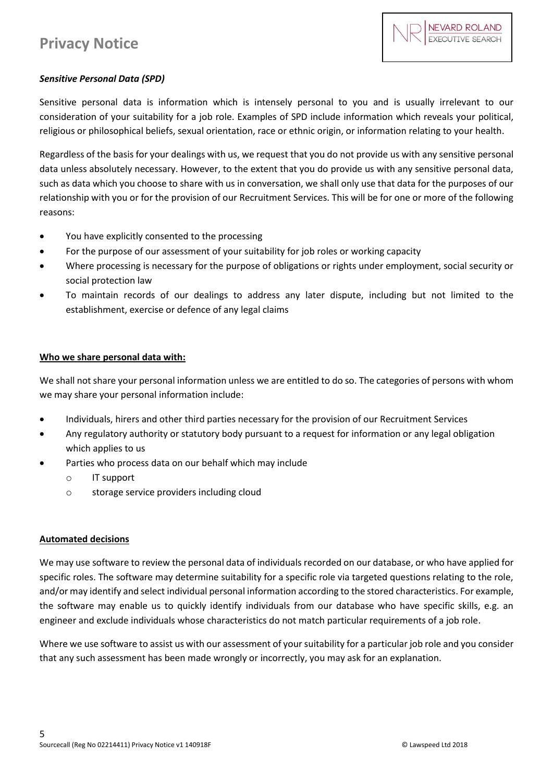## *Sensitive Personal Data (SPD)*

Sensitive personal data is information which is intensely personal to you and is usually irrelevant to our consideration of your suitability for a job role. Examples of SPD include information which reveals your political, religious or philosophical beliefs, sexual orientation, race or ethnic origin, or information relating to your health.

Regardless of the basis for your dealings with us, we request that you do not provide us with any sensitive personal data unless absolutely necessary. However, to the extent that you do provide us with any sensitive personal data, such as data which you choose to share with us in conversation, we shall only use that data for the purposes of our relationship with you or for the provision of our Recruitment Services. This will be for one or more of the following reasons:

- You have explicitly consented to the processing
- For the purpose of our assessment of your suitability for job roles or working capacity
- Where processing is necessary for the purpose of obligations or rights under employment, social security or social protection law
- To maintain records of our dealings to address any later dispute, including but not limited to the establishment, exercise or defence of any legal claims

## **Who we share personal data with:**

We shall not share your personal information unless we are entitled to do so. The categories of persons with whom we may share your personal information include:

- Individuals, hirers and other third parties necessary for the provision of our Recruitment Services
- Any regulatory authority or statutory body pursuant to a request for information or any legal obligation which applies to us
- Parties who process data on our behalf which may include
	- o IT support
	- o storage service providers including cloud

## **Automated decisions**

We may use software to review the personal data of individuals recorded on our database, or who have applied for specific roles. The software may determine suitability for a specific role via targeted questions relating to the role, and/or may identify and select individual personal information according to the stored characteristics. For example, the software may enable us to quickly identify individuals from our database who have specific skills, e.g. an engineer and exclude individuals whose characteristics do not match particular requirements of a job role.

Where we use software to assist us with our assessment of your suitability for a particular job role and you consider that any such assessment has been made wrongly or incorrectly, you may ask for an explanation.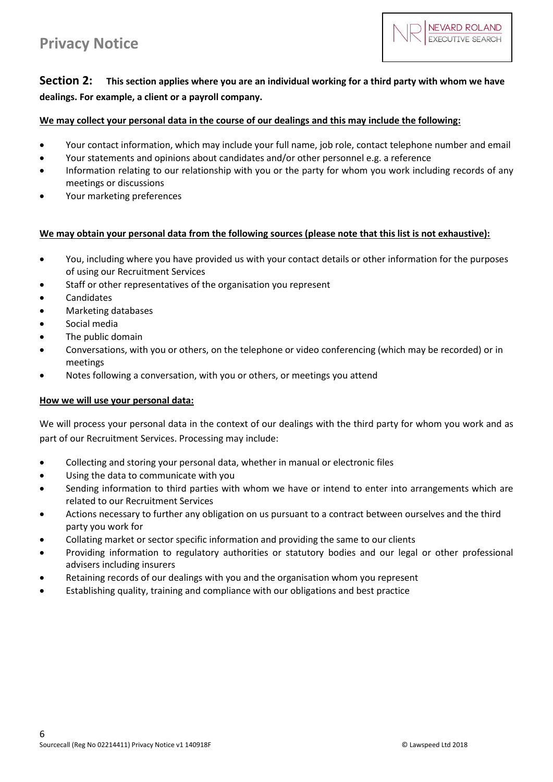

# **Section 2: This section applies where you are an individual working for a third party with whom we have dealings. For example, a client or a payroll company.**

### **We may collect your personal data in the course of our dealings and this may include the following:**

- Your contact information, which may include your full name, job role, contact telephone number and email
- Your statements and opinions about candidates and/or other personnel e.g. a reference
- Information relating to our relationship with you or the party for whom you work including records of any meetings or discussions
- Your marketing preferences

### **We may obtain your personal data from the following sources (please note that this list is not exhaustive):**

- You, including where you have provided us with your contact details or other information for the purposes of using our Recruitment Services
- Staff or other representatives of the organisation you represent
- Candidates
- Marketing databases
- Social media
- The public domain
- Conversations, with you or others, on the telephone or video conferencing (which may be recorded) or in meetings
- Notes following a conversation, with you or others, or meetings you attend

#### **How we will use your personal data:**

We will process your personal data in the context of our dealings with the third party for whom you work and as part of our Recruitment Services. Processing may include:

- Collecting and storing your personal data, whether in manual or electronic files
- Using the data to communicate with you
- Sending information to third parties with whom we have or intend to enter into arrangements which are related to our Recruitment Services
- Actions necessary to further any obligation on us pursuant to a contract between ourselves and the third party you work for
- Collating market or sector specific information and providing the same to our clients
- Providing information to regulatory authorities or statutory bodies and our legal or other professional advisers including insurers
- Retaining records of our dealings with you and the organisation whom you represent
- Establishing quality, training and compliance with our obligations and best practice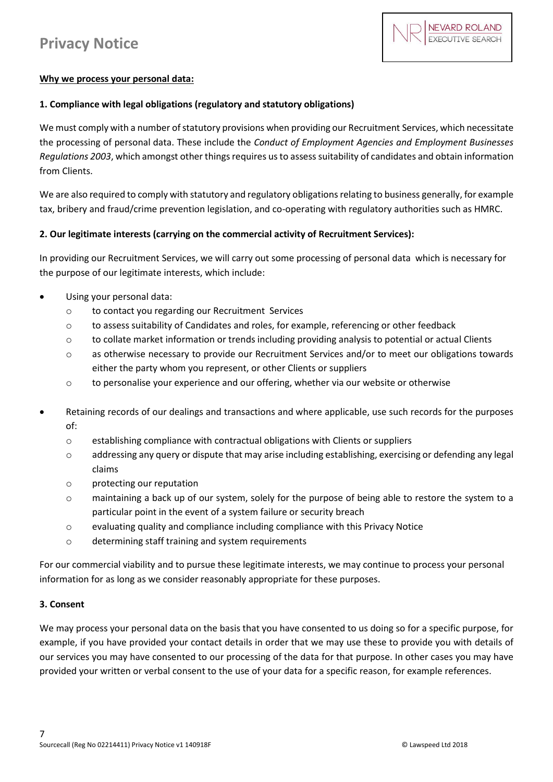## **Why we process your personal data:**

### **1. Compliance with legal obligations (regulatory and statutory obligations)**

We must comply with a number of statutory provisions when providing our Recruitment Services, which necessitate the processing of personal data. These include the *Conduct of Employment Agencies and Employment Businesses Regulations 2003*, which amongst other things requires us to assess suitability of candidates and obtain information from Clients.

We are also required to comply with statutory and regulatory obligations relating to business generally, for example tax, bribery and fraud/crime prevention legislation, and co-operating with regulatory authorities such as HMRC.

### **2. Our legitimate interests (carrying on the commercial activity of Recruitment Services):**

In providing our Recruitment Services, we will carry out some processing of personal data which is necessary for the purpose of our legitimate interests, which include:

- Using your personal data:
	- o to contact you regarding our Recruitment Services
	- $\circ$  to assess suitability of Candidates and roles, for example, referencing or other feedback
	- o to collate market information or trends including providing analysis to potential or actual Clients
	- o as otherwise necessary to provide our Recruitment Services and/or to meet our obligations towards either the party whom you represent, or other Clients or suppliers
	- o to personalise your experience and our offering, whether via our website or otherwise
- Retaining records of our dealings and transactions and where applicable, use such records for the purposes of:
	- o establishing compliance with contractual obligations with Clients or suppliers
	- o addressing any query or dispute that may arise including establishing, exercising or defending any legal claims
	- o protecting our reputation
	- o maintaining a back up of our system, solely for the purpose of being able to restore the system to a particular point in the event of a system failure or security breach
	- o evaluating quality and compliance including compliance with this Privacy Notice
	- o determining staff training and system requirements

For our commercial viability and to pursue these legitimate interests, we may continue to process your personal information for as long as we consider reasonably appropriate for these purposes.

#### **3. Consent**

We may process your personal data on the basis that you have consented to us doing so for a specific purpose, for example, if you have provided your contact details in order that we may use these to provide you with details of our services you may have consented to our processing of the data for that purpose. In other cases you may have provided your written or verbal consent to the use of your data for a specific reason, for example references.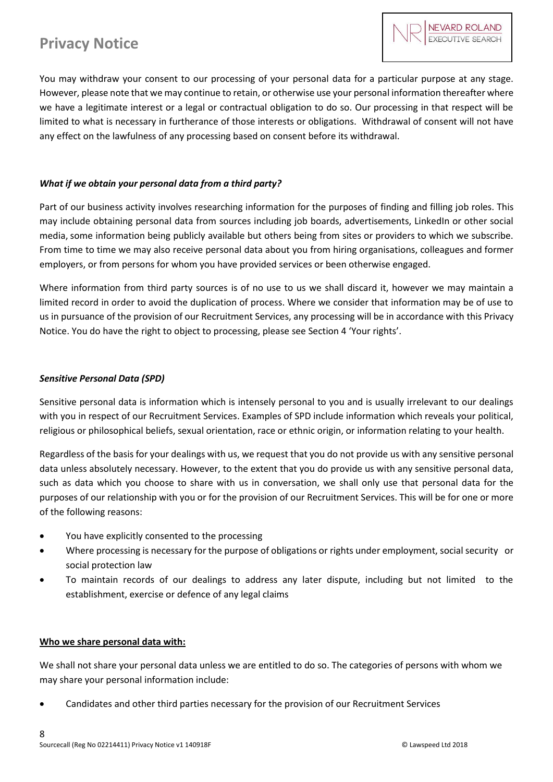You may withdraw your consent to our processing of your personal data for a particular purpose at any stage. However, please note that we may continue to retain, or otherwise use your personal information thereafter where we have a legitimate interest or a legal or contractual obligation to do so. Our processing in that respect will be limited to what is necessary in furtherance of those interests or obligations. Withdrawal of consent will not have any effect on the lawfulness of any processing based on consent before its withdrawal.

### *What if we obtain your personal data from a third party?*

Part of our business activity involves researching information for the purposes of finding and filling job roles. This may include obtaining personal data from sources including job boards, advertisements, LinkedIn or other social media, some information being publicly available but others being from sites or providers to which we subscribe. From time to time we may also receive personal data about you from hiring organisations, colleagues and former employers, or from persons for whom you have provided services or been otherwise engaged.

Where information from third party sources is of no use to us we shall discard it, however we may maintain a limited record in order to avoid the duplication of process. Where we consider that information may be of use to us in pursuance of the provision of our Recruitment Services, any processing will be in accordance with this Privacy Notice. You do have the right to object to processing, please see Section 4 'Your rights'.

### *Sensitive Personal Data (SPD)*

Sensitive personal data is information which is intensely personal to you and is usually irrelevant to our dealings with you in respect of our Recruitment Services. Examples of SPD include information which reveals your political, religious or philosophical beliefs, sexual orientation, race or ethnic origin, or information relating to your health.

Regardless of the basis for your dealings with us, we request that you do not provide us with any sensitive personal data unless absolutely necessary. However, to the extent that you do provide us with any sensitive personal data, such as data which you choose to share with us in conversation, we shall only use that personal data for the purposes of our relationship with you or for the provision of our Recruitment Services. This will be for one or more of the following reasons:

- You have explicitly consented to the processing
- Where processing is necessary for the purpose of obligations or rights under employment, social security or social protection law
- To maintain records of our dealings to address any later dispute, including but not limited to the establishment, exercise or defence of any legal claims

#### **Who we share personal data with:**

We shall not share your personal data unless we are entitled to do so. The categories of persons with whom we may share your personal information include:

Candidates and other third parties necessary for the provision of our Recruitment Services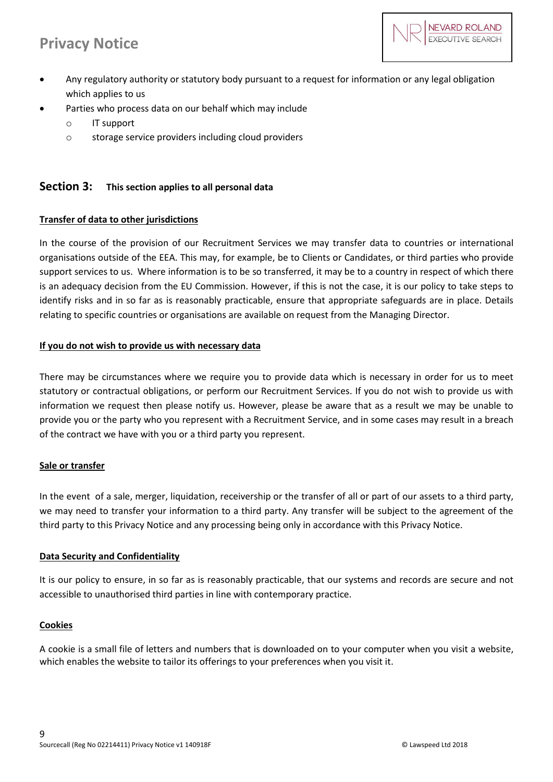

- Any regulatory authority or statutory body pursuant to a request for information or any legal obligation which applies to us
- Parties who process data on our behalf which may include
	- o IT support
	- o storage service providers including cloud providers

### **Section 3: This section applies to all personal data**

#### **Transfer of data to other jurisdictions**

In the course of the provision of our Recruitment Services we may transfer data to countries or international organisations outside of the EEA. This may, for example, be to Clients or Candidates, or third parties who provide support services to us. Where information is to be so transferred, it may be to a country in respect of which there is an adequacy decision from the EU Commission. However, if this is not the case, it is our policy to take steps to identify risks and in so far as is reasonably practicable, ensure that appropriate safeguards are in place. Details relating to specific countries or organisations are available on request from the Managing Director.

#### **If you do not wish to provide us with necessary data**

There may be circumstances where we require you to provide data which is necessary in order for us to meet statutory or contractual obligations, or perform our Recruitment Services. If you do not wish to provide us with information we request then please notify us. However, please be aware that as a result we may be unable to provide you or the party who you represent with a Recruitment Service, and in some cases may result in a breach of the contract we have with you or a third party you represent.

#### **Sale or transfer**

In the event of a sale, merger, liquidation, receivership or the transfer of all or part of our assets to a third party, we may need to transfer your information to a third party. Any transfer will be subject to the agreement of the third party to this Privacy Notice and any processing being only in accordance with this Privacy Notice.

#### **Data Security and Confidentiality**

It is our policy to ensure, in so far as is reasonably practicable, that our systems and records are secure and not accessible to unauthorised third parties in line with contemporary practice.

#### **Cookies**

A cookie is a small file of letters and numbers that is downloaded on to your computer when you visit a website, which enables the website to tailor its offerings to your preferences when you visit it.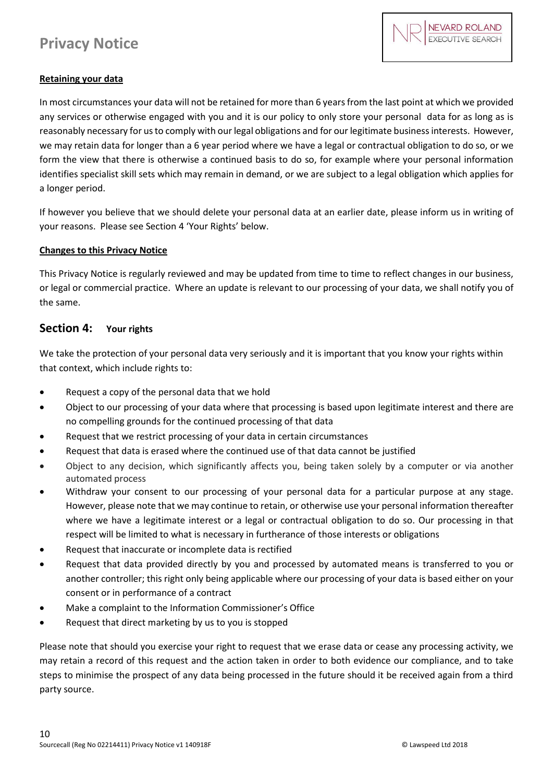

### **Retaining your data**

In most circumstances your data will not be retained for more than 6 years from the last point at which we provided any services or otherwise engaged with you and it is our policy to only store your personal data for as long as is reasonably necessary for us to comply with our legal obligations and for our legitimate business interests. However, we may retain data for longer than a 6 year period where we have a legal or contractual obligation to do so, or we form the view that there is otherwise a continued basis to do so, for example where your personal information identifies specialist skill sets which may remain in demand, or we are subject to a legal obligation which applies for a longer period.

If however you believe that we should delete your personal data at an earlier date, please inform us in writing of your reasons. Please see Section 4 'Your Rights' below.

#### **Changes to this Privacy Notice**

This Privacy Notice is regularly reviewed and may be updated from time to time to reflect changes in our business, or legal or commercial practice. Where an update is relevant to our processing of your data, we shall notify you of the same.

### **Section 4: Your rights**

We take the protection of your personal data very seriously and it is important that you know your rights within that context, which include rights to:

- Request a copy of the personal data that we hold
- Object to our processing of your data where that processing is based upon legitimate interest and there are no compelling grounds for the continued processing of that data
- Request that we restrict processing of your data in certain circumstances
- Request that data is erased where the continued use of that data cannot be justified
- Object to any decision, which significantly affects you, being taken solely by a computer or via another automated process
- Withdraw your consent to our processing of your personal data for a particular purpose at any stage. However, please note that we may continue to retain, or otherwise use your personal information thereafter where we have a legitimate interest or a legal or contractual obligation to do so. Our processing in that respect will be limited to what is necessary in furtherance of those interests or obligations
- Request that inaccurate or incomplete data is rectified
- Request that data provided directly by you and processed by automated means is transferred to you or another controller; this right only being applicable where our processing of your data is based either on your consent or in performance of a contract
- Make a complaint to the Information Commissioner's Office
- Request that direct marketing by us to you is stopped

Please note that should you exercise your right to request that we erase data or cease any processing activity, we may retain a record of this request and the action taken in order to both evidence our compliance, and to take steps to minimise the prospect of any data being processed in the future should it be received again from a third party source.